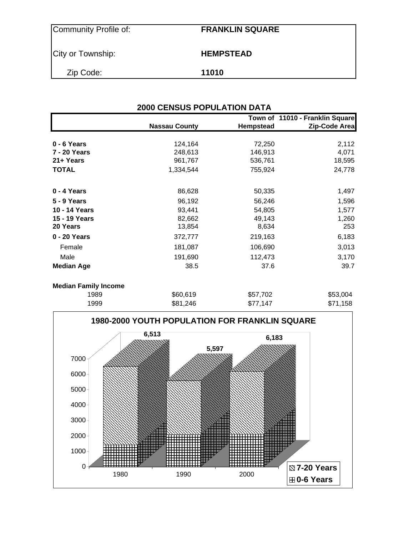| Community Profile of: | <b>FRANKLIN SQUARE</b> |
|-----------------------|------------------------|
| City or Township:     | <b>HEMPSTEAD</b>       |
| Zip Code:             | 11010                  |

|                   | <b>Nassau County</b> | <b>Hempstead</b> | Town of 11010 - Franklin Square<br>Zip-Code Area |
|-------------------|----------------------|------------------|--------------------------------------------------|
|                   |                      |                  |                                                  |
| $0 - 6$ Years     | 124,164              | 72,250           | 2,112                                            |
| 7 - 20 Years      | 248,613              | 146,913          | 4,071                                            |
| 21+ Years         | 961,767              | 536,761          | 18,595                                           |
| <b>TOTAL</b>      | 1,334,544            | 755,924          | 24,778                                           |
| 0 - 4 Years       | 86,628               | 50,335           | 1,497                                            |
| 5 - 9 Years       | 96,192               | 56,246           | 1,596                                            |
| 10 - 14 Years     | 93,441               | 54,805           | 1,577                                            |
| 15 - 19 Years     | 82,662               | 49,143           | 1,260                                            |
| 20 Years          | 13,854               | 8,634            | 253                                              |
| 0 - 20 Years      | 372,777              | 219,163          | 6,183                                            |
| Female            | 181,087              | 106,690          | 3,013                                            |
| Male              | 191,690              | 112,473          | 3,170                                            |
| <b>Median Age</b> | 38.5                 | 37.6             | 39.7                                             |

| <b>Median Family Income</b> |          |          |          |
|-----------------------------|----------|----------|----------|
| 1989                        | \$60,619 | \$57,702 | \$53,004 |
| 1999                        | \$81,246 | \$77.147 | \$71,158 |

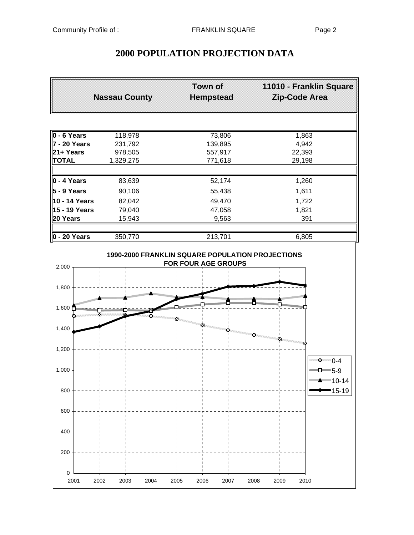# **2000 POPULATION PROJECTION DATA**

|                                   | <b>Nassau County</b> | Town of<br><b>Hempstead</b>                                             | 11010 - Franklin Square<br>Zip-Code Area |
|-----------------------------------|----------------------|-------------------------------------------------------------------------|------------------------------------------|
|                                   |                      |                                                                         |                                          |
| 0 - 6 Years                       | 118,978              | 73,806                                                                  | 1,863                                    |
| 7 - 20 Years                      | 231,792              | 139,895                                                                 | 4,942                                    |
| 21+ Years                         | 978,505              | 557,917                                                                 | 22,393                                   |
| <b>TOTAL</b>                      | 1,329,275            | 771,618                                                                 | 29,198                                   |
| $0 - 4$ Years                     | 83,639               | 52,174                                                                  | 1,260                                    |
| 5 - 9 Years                       | 90,106               | 55,438                                                                  | 1,611                                    |
| 10 - 14 Years                     |                      | 49,470                                                                  |                                          |
| 15 - 19 Years                     | 82,042<br>79,040     | 47,058                                                                  | 1,722<br>1,821                           |
| 20 Years                          | 15,943               | 9,563                                                                   | 391                                      |
|                                   |                      |                                                                         |                                          |
| $0 - 20$ Years                    | 350,770              | 213,701                                                                 | 6,805                                    |
| 2,000                             |                      | 1990-2000 FRANKLIN SQUARE POPULATION PROJECTIONS<br>FOR FOUR AGE GROUPS |                                          |
| 1,800                             |                      |                                                                         |                                          |
|                                   |                      |                                                                         |                                          |
| <b>Management</b><br>1,600 $\Box$ |                      |                                                                         |                                          |
|                                   |                      |                                                                         |                                          |
| 1,400                             |                      |                                                                         |                                          |
|                                   |                      |                                                                         | ×                                        |
| 1,200                             |                      |                                                                         | mang.                                    |
|                                   |                      |                                                                         | ™∙⊻ี 0-4                                 |
| 1,000                             |                      |                                                                         | $\blacksquare$ D $\blacksquare$ 5-9      |
|                                   |                      |                                                                         |                                          |
|                                   |                      |                                                                         |                                          |
| 800                               |                      |                                                                         | ∙15-19                                   |
|                                   |                      |                                                                         |                                          |
| 600                               |                      |                                                                         |                                          |
|                                   |                      |                                                                         |                                          |
| 400                               |                      |                                                                         |                                          |
|                                   |                      |                                                                         |                                          |
| 200                               |                      |                                                                         |                                          |
|                                   |                      |                                                                         |                                          |
| 0                                 |                      |                                                                         |                                          |
| 2001<br>2002                      | 2003<br>2004         | 2005<br>2006<br>2007                                                    | 2009<br>2008<br>2010                     |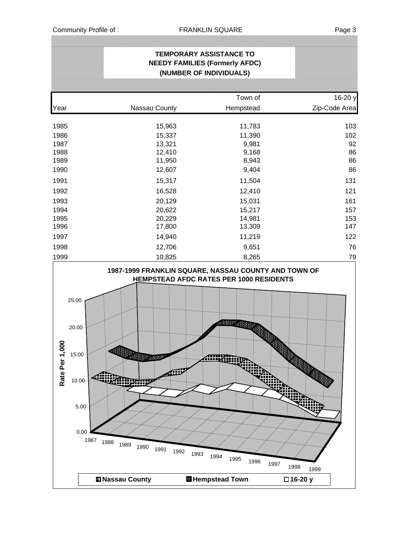# **TEMPORARY ASSISTANCE TO NEEDY FAMILIES (Formerly AFDC) (NUMBER OF INDIVIDUALS)**

*;;;;;;;;;;;;;;;;;* 

|                                                                                      |                                                                                                            |                                                                                      | Town of<br>16-20 y                                                                                                                                                              |
|--------------------------------------------------------------------------------------|------------------------------------------------------------------------------------------------------------|--------------------------------------------------------------------------------------|---------------------------------------------------------------------------------------------------------------------------------------------------------------------------------|
| Year                                                                                 | Nassau County                                                                                              | Hempstead                                                                            | Zip-Code Area                                                                                                                                                                   |
| 1985<br>1986<br>1987<br>1988<br>1989<br>1990<br>1991<br>1992<br>1993<br>1994<br>1995 | 15,963<br>15,337<br>13,321<br>12,410<br>11,950<br>12,607<br>15,317<br>16,528<br>20,129<br>20,622<br>20,229 |                                                                                      | 103<br>11,783<br>11,390<br>102<br>92<br>9,981<br>86<br>9,168<br>86<br>8,943<br>86<br>9,404<br>11,504<br>131<br>121<br>12,410<br>15,031<br>161<br>15,217<br>157<br>14,981<br>153 |
| 1996                                                                                 | 17,800                                                                                                     |                                                                                      | 147<br>13,309                                                                                                                                                                   |
| 1997                                                                                 | 14,940                                                                                                     |                                                                                      | 11,219<br>122                                                                                                                                                                   |
| 1998                                                                                 | 12,706                                                                                                     |                                                                                      | 76<br>9,651                                                                                                                                                                     |
| 1999                                                                                 | 10,825                                                                                                     |                                                                                      | 79<br>8,265                                                                                                                                                                     |
| Rate Per 1,000                                                                       | 25.00<br>20.00<br>$15.00 -$<br>熊老不正之<br>10.00<br>$5.00 -$<br>0.00<br>1987<br>1988<br>1989<br>1990<br>1991  | HEMPSTEAD AFDC RATES PER 1000 RESIDENTS<br>mur<br>ረመ<br>1992<br>1993<br>1994<br>1995 | التايت<br>ÆŅ<br>an m<br>1996<br>1997<br>1998<br>1999                                                                                                                            |
|                                                                                      | <b>El Nassau County</b>                                                                                    | <b>H</b> Hempstead Town                                                              | □16-20 y                                                                                                                                                                        |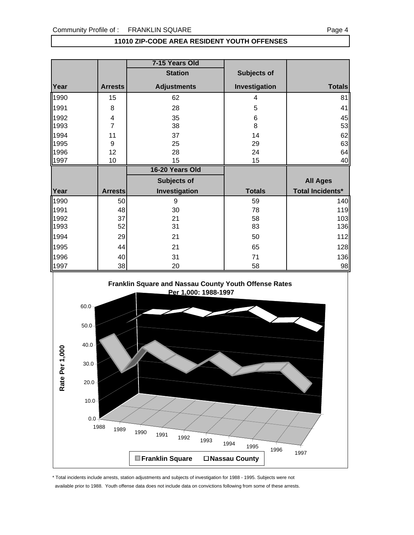|      |                         | 7-15 Years Old     |               |                         |
|------|-------------------------|--------------------|---------------|-------------------------|
|      |                         | <b>Station</b>     | Subjects of   |                         |
| Year | <b>Arrests</b>          | <b>Adjustments</b> | Investigation | <b>Totals</b>           |
| 1990 | 15                      | 62                 | 4             | 81                      |
| 1991 | 8                       | 28                 | 5             | 41                      |
| 1992 | $\overline{\mathbf{4}}$ | 35                 | 6             | 45                      |
| 1993 | 7                       | 38                 | 8             | 53                      |
| 1994 | 11                      | 37                 | 14            | 62                      |
| 1995 | 9                       | 25                 | 29            | 63                      |
| 1996 | 12                      | 28                 | 24            | 64                      |
| 1997 | 10                      | 15                 | 15            | 40                      |
|      |                         |                    |               |                         |
|      |                         | 16-20 Years Old    |               |                         |
|      |                         | <b>Subjects of</b> |               | <b>All Ages</b>         |
| Year | <b>Arrests</b>          | Investigation      | <b>Totals</b> | <b>Total Incidents*</b> |
| 1990 | 50                      | 9                  | 59            | 140                     |
| 1991 | 48                      | 30                 | 78            | 119                     |
| 1992 | 37                      | 21                 | 58            | 103                     |
| 1993 | 52                      | 31                 | 83            | 136                     |
| 1994 | 29                      | 21                 | 50            | 112                     |
| 1995 | 44                      | 21                 | 65            | 128                     |
| 1996 | 40                      | 31                 | 71            | 136                     |



### **11010 ZIP-CODE AREA RESIDENT YOUTH OFFENSES**

\* Total incidents include arrests, station adjustments and subjects of investigation for 1988 - 1995. Subjects were not

available prior to 1988. Youth offense data does not include data on convictions following from some of these arrests.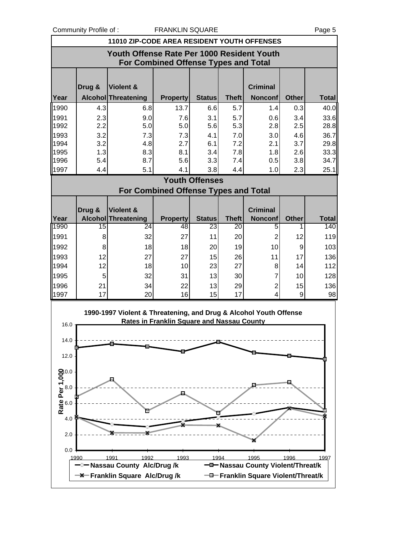Community Profile of : FRANKLIN SQUARE Page 5

|      | 11010 ZIP-CODE AREA RESIDENT YOUTH OFFENSES                                               |                                                                   |                                                   |                       |              |                                        |              |              |  |  |
|------|-------------------------------------------------------------------------------------------|-------------------------------------------------------------------|---------------------------------------------------|-----------------------|--------------|----------------------------------------|--------------|--------------|--|--|
|      | Youth Offense Rate Per 1000 Resident Youth<br><b>For Combined Offense Types and Total</b> |                                                                   |                                                   |                       |              |                                        |              |              |  |  |
|      | Drug &                                                                                    | Violent &                                                         |                                                   |                       |              | <b>Criminal</b>                        |              |              |  |  |
| Year |                                                                                           | <b>Alcohol Threatening</b>                                        | <b>Property</b>                                   | <b>Status</b>         | <b>Theft</b> | <b>Nonconf</b>                         | <b>Other</b> | <b>Total</b> |  |  |
| 1990 | 4.3                                                                                       | 6.8                                                               | 13.7                                              | 6.6                   | 5.7          | 1.4                                    | 0.3          | 40.0         |  |  |
| 1991 | 2.3                                                                                       | 9.0                                                               | 7.6                                               | 3.1                   | 5.7          | 0.6                                    | 3.4          | 33.6         |  |  |
| 1992 | 2.2                                                                                       | 5.0                                                               | 5.0                                               | 5.6                   | 5.3          | 2.8                                    | 2.5          | 28.8         |  |  |
| 1993 | 3.2                                                                                       | 7.3                                                               | 7.3                                               | 4.1                   | 7.0          | 3.0                                    | 4.6          | 36.7         |  |  |
| 1994 | 3.2                                                                                       | 4.8                                                               | 2.7                                               | 6.1                   | 7.2          | 2.1                                    | 3.7          | 29.8         |  |  |
| 1995 | 1.3                                                                                       | 8.3                                                               | 8.1                                               | 3.4                   | 7.8          | 1.8                                    | 2.6          | 33.3         |  |  |
| 1996 | 5.4                                                                                       | 8.7                                                               | 5.6                                               | 3.3                   | 7.4          | 0.5                                    | 3.8          | 34.7         |  |  |
| 1997 | 4.4                                                                                       | 5.1                                                               | 4.1                                               | 3.8                   | 4.4          | 1.0                                    | 2.3          | 25.1         |  |  |
|      |                                                                                           |                                                                   | For Combined Offense Types and Total              | <b>Youth Offenses</b> |              |                                        |              |              |  |  |
|      |                                                                                           |                                                                   |                                                   |                       |              |                                        |              |              |  |  |
|      | Drug &                                                                                    | Violent &                                                         |                                                   |                       |              | <b>Criminal</b>                        |              |              |  |  |
| Year |                                                                                           | <b>Alcohol Threatening</b>                                        | <b>Property</b>                                   | <b>Status</b>         | <b>Theft</b> | <b>Nonconf</b>                         | <b>Other</b> | <b>Total</b> |  |  |
| 1990 | 15                                                                                        | 24                                                                | 48                                                | 23                    | 20           | 5                                      | 1            | 140          |  |  |
| 1991 | 8                                                                                         | 32                                                                | 27                                                | 11                    | 20           | $\overline{2}$                         | 12           | 119          |  |  |
| 1992 | 8                                                                                         | 18                                                                | 18                                                | 20                    | 19           | 10                                     | 9            | 103          |  |  |
| 1993 | 12                                                                                        | 27                                                                | 27                                                | 15                    | 26           | 11                                     | 17           | 136          |  |  |
| 1994 | 12                                                                                        | 18                                                                | 10                                                | 23                    | 27           | 8                                      | 14           | 112          |  |  |
| 1995 | 5                                                                                         | 32                                                                | 31                                                | 13                    | 30           | $\overline{7}$                         | 10           | 128          |  |  |
| 1996 | 21                                                                                        | 34                                                                | 22                                                | 13                    | 29           | $\overline{2}$                         | 15           | 136          |  |  |
| 1997 | 17                                                                                        | 20                                                                | 16                                                | 15                    | 17           | 4                                      | 9            | 98           |  |  |
| 16.0 |                                                                                           | 1990-1997 Violent & Threatening, and Drug & Alcohol Youth Offense | <b>Rates in Franklin Square and Nassau County</b> |                       |              |                                        |              |              |  |  |
| 14.0 |                                                                                           |                                                                   |                                                   |                       |              |                                        |              |              |  |  |
| 12.0 |                                                                                           |                                                                   |                                                   |                       |              |                                        |              |              |  |  |
|      |                                                                                           |                                                                   |                                                   |                       |              |                                        |              |              |  |  |
|      |                                                                                           |                                                                   |                                                   |                       |              |                                        |              |              |  |  |
|      |                                                                                           |                                                                   |                                                   |                       |              |                                        |              |              |  |  |
|      |                                                                                           |                                                                   |                                                   |                       |              |                                        |              |              |  |  |
|      |                                                                                           |                                                                   |                                                   |                       |              |                                        |              |              |  |  |
|      |                                                                                           |                                                                   |                                                   |                       |              |                                        |              |              |  |  |
| 4.0  |                                                                                           |                                                                   |                                                   |                       |              |                                        |              |              |  |  |
| 2.0  |                                                                                           |                                                                   |                                                   |                       |              |                                        |              |              |  |  |
| 0.0  |                                                                                           |                                                                   |                                                   |                       |              |                                        |              |              |  |  |
| 1990 |                                                                                           | 1991<br>1992<br>-Nassau County Alc/Drug/k                         | 1993                                              | 1994                  |              | 1995<br>Massau County Violent/Threat/k | 1996         | 1997         |  |  |
|      |                                                                                           | <b>-X</b> Franklin Square Alc/Drug/k                              |                                                   |                       |              | -D-Franklin Square Violent/Threat/k    |              |              |  |  |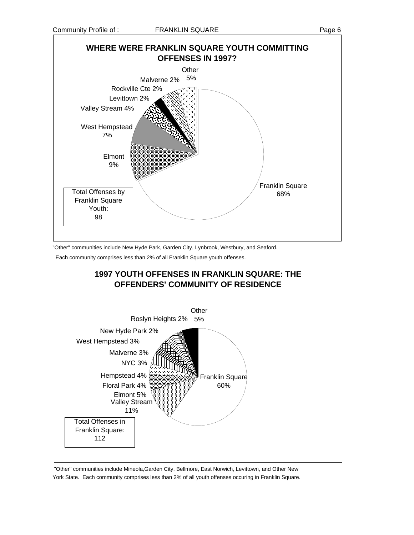

Each community comprises less than 2% of all Franklin Square youth offenses.



 "Other" communities include Mineola,Garden City, Bellmore, East Norwich, Levittown, and Other New York State. Each community comprises less than 2% of all youth offenses occuring in Franklin Square.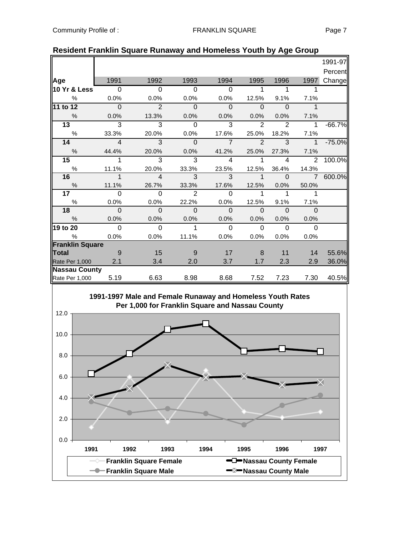|                        |                          |                           |                            |                          |                            |                          |                            | 1991-97  |
|------------------------|--------------------------|---------------------------|----------------------------|--------------------------|----------------------------|--------------------------|----------------------------|----------|
|                        |                          |                           |                            |                          |                            |                          |                            | Percent  |
| Age                    | 1991                     | 1992                      | 1993                       | 1994                     | 1995                       | 1996                     | 1997                       | Change   |
| 10 Yr & Less           | $\overline{\phantom{0}}$ | $\overline{\phantom{0}}$  | $\overline{\phantom{0}}$   | $\overline{\phantom{0}}$ | $\overline{1}$             | $\mathbf{1}$             | 1                          |          |
| %                      | 0.0%                     | 0.0%                      | 0.0%                       | 0.0%                     | 12.5%                      | 9.1%                     | 7.1%                       |          |
| 11 to 12               | $\overline{0}$           | $\overline{2}$            | $\overline{\mathbf{0}}$    | $\Omega$                 | $\overline{\phantom{0}}$   | - 0                      | $\mathbf{1}$               |          |
| $\%$                   | 0.0%                     | 13.3%                     | 0.0%                       | 0.0%                     | 0.0%                       | 0.0%                     | 7.1%                       |          |
| $\overline{13}$        | $\overline{\mathbf{3}}$  | $\overline{3}$            | $\overline{0}$             | 3                        | 2                          | $\mathcal{P}$            | $\mathbf 1$                | $-66.7%$ |
| %                      | 33.3%                    | 20.0%                     | 0.0%                       | 17.6%                    | 25.0%                      | 18.2%                    | 7.1%                       |          |
| 14                     | $\overline{\phantom{0}}$ | $\overline{\phantom{a}3}$ | $\overline{\phantom{0}}$   | $\overline{7}$           | $\overline{2}$             | 3                        | $\mathbf{1}$               | $-75.0%$ |
| $\%$                   | 44.4%                    | 20.0%                     | 0.0%                       | 41.2%                    | 25.0%                      | 27.3%                    | 7.1%                       |          |
| 15 <sub>1</sub>        | 1                        | $\overline{3}$            | $\overline{3}$             | $\overline{4}$           | $\overline{1}$             | $\overline{4}$           |                            | 2 100.0% |
| $\%$                   | 11.1%                    | 20.0%                     | 33.3%                      | 23.5%                    | 12.5%                      | 36.4%                    | 14.3%                      |          |
| 16                     | $\overline{\phantom{a}}$ | $\overline{4}$            | $\overline{\phantom{a}3}$  | $\overline{\textbf{3}}$  | $\sim$ 1                   | $\overline{\phantom{0}}$ | $\overline{7}$             | 600.0%   |
| %                      | 11.1%                    | 26.7%                     | 33.3%                      | 17.6%                    | 12.5%                      | 0.0%                     | 50.0%                      |          |
| 17 <sub>1</sub>        | $\Omega$                 | $\overline{0}$            | $\overline{\phantom{0}}$ 2 | $\overline{0}$           | $\overline{\phantom{1}}$ 1 | $\mathbf{1}$             | $\overline{\phantom{1}}$ 1 |          |
| $\%$                   | 0.0%                     | 0.0%                      | 22.2%                      | $0.0\%$                  | 12.5%                      | 9.1%                     | 7.1%                       |          |
| 18                     | $\Omega$                 | $\overline{\phantom{0}}$  | $\overline{\phantom{0}}$   | $\overline{\phantom{0}}$ | $\overline{\phantom{0}}$   | $\overline{0}$           | $\overline{0}$             |          |
| %                      | 0.0%                     | 0.0%                      | 0.0%                       | 0.0%                     | $0.0\%$                    | 0.0%                     | 0.0%                       |          |
| 19 to 20               | $\overline{\mathbf{0}}$  | $\overline{0}$            | $\mathbf{1}$               | $\overline{0}$           | $\overline{0}$             | $\overline{0}$           | $\Omega$                   |          |
| $\%$                   | 0.0%                     | 0.0%                      | 11.1%                      | 0.0%                     | 0.0%                       | 0.0%                     | 0.0%                       |          |
| <b>Franklin Square</b> |                          |                           |                            |                          |                            |                          |                            |          |
| Total                  | $\overline{9}$           | 15                        | - 9                        | 17                       | 8                          | 11                       | 14                         | 55.6%    |
| Rate Per 1,000 2.1     |                          | 3.4                       | 2.0                        | 3.7                      | 1.7                        | 2.3                      | 2.9                        | 36.0%    |
| <b>Nassau County</b>   |                          |                           |                            |                          |                            |                          |                            |          |
| Rate Per 1,000 5.19    |                          | 6.63                      | 8.98                       | 8.68                     | 7.52                       | 7.23                     | 7.30                       | 40.5%    |

## **Resident Franklin Square Runaway and Homeless Youth by Age Group**

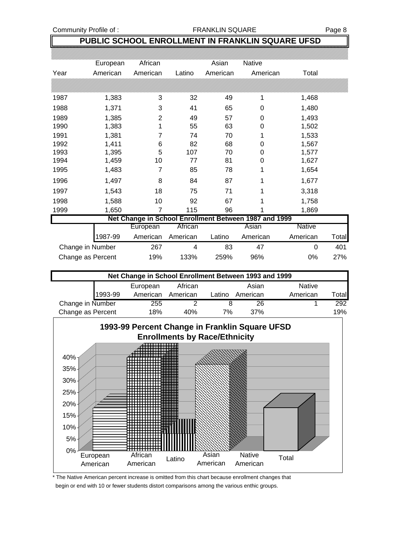### Community Profile of : The ST RANKLIN SQUARE Page 8

# **PUBLIC SCHOOL ENROLLMENT IN FRANKLIN SQUARE UFSD**

|                  | European | African  |          | Asian    | <b>Native</b>                                         |               |       |
|------------------|----------|----------|----------|----------|-------------------------------------------------------|---------------|-------|
| Year             | American | American | Latino   | American | American                                              | Total         |       |
|                  |          |          |          |          |                                                       |               |       |
| 1987             | 1,383    | 3        | 32       | 49       |                                                       | 1,468         |       |
| 1988             | 1,371    | 3        | 41       | 65       | $\Omega$                                              | 1,480         |       |
| 1989             | 1,385    | 2        | 49       | 57       | 0                                                     | 1,493         |       |
| 1990             | 1,383    |          | 55       | 63       | 0                                                     | 1,502         |       |
| 1991             | 1,381    | 7        | 74       | 70       | 1                                                     | 1,533         |       |
| 1992             | 1,411    | 6        | 82       | 68       | 0                                                     | 1,567         |       |
| 1993             | 1,395    | 5        | 107      | 70       | 0                                                     | 1,577         |       |
| 1994             | 1,459    | 10       | 77       | 81       | 0                                                     | 1,627         |       |
| 1995             | 1,483    | 7        | 85       | 78       | 1                                                     | 1,654         |       |
| 1996             | 1,497    | 8        | 84       | 87       | 1                                                     | 1,677         |       |
| 1997             | 1,543    | 18       | 75       | 71       | 1                                                     | 3,318         |       |
| 1998             | 1,588    | 10       | 92       | 67       | 1                                                     | 1,758         |       |
| 1999             | 1,650    | 7        | 115      | 96       |                                                       | 1,869         |       |
|                  |          |          |          |          | Net Change in School Enrollment Between 1987 and 1999 |               |       |
|                  |          | European | African  |          | Asian                                                 | <b>Native</b> |       |
|                  | 1987-99  | American | American | Latino   | American                                              | American      | Total |
| Change in Number |          | 267      | 4        | 83       | 47                                                    | 0             | 401   |

|                   | Net Change in School Enrollment Between 1993 and 1999 |          |          |        |          |               |                        |  |  |  |  |
|-------------------|-------------------------------------------------------|----------|----------|--------|----------|---------------|------------------------|--|--|--|--|
|                   |                                                       | European | African  |        | Asian    | <b>Native</b> |                        |  |  |  |  |
|                   | 1993-99                                               | American | American | Latino | American | American      | $\tau$ <sub>otal</sub> |  |  |  |  |
| Change in Number  |                                                       | 255      | ◠        |        | 26       |               | 292                    |  |  |  |  |
| Change as Percent |                                                       | 18%      | 40%      | 7%     | 37%      |               | 19%                    |  |  |  |  |

Change as Percent 19% 133% 259% 96% 0% 27%



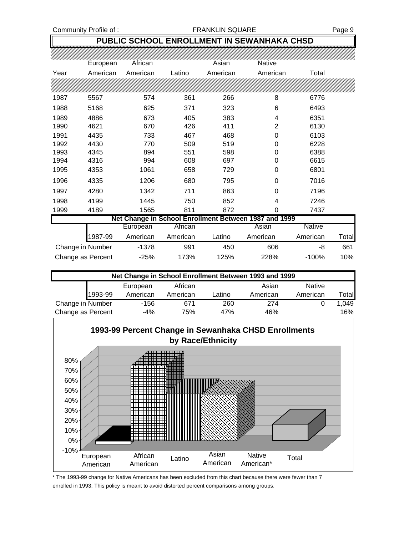### **PUBLIC SCHOOL ENROLLMENT IN SEWANHAKA CHSD**

|      | European          | African  |          | Asian    | Native                                                |               |       |
|------|-------------------|----------|----------|----------|-------------------------------------------------------|---------------|-------|
| Year | American          | American | Latino   | American | American                                              | Total         |       |
|      |                   |          |          |          |                                                       |               |       |
| 1987 | 5567              | 574      | 361      | 266      | 8                                                     | 6776          |       |
| 1988 | 5168              | 625      | 371      | 323      | 6                                                     | 6493          |       |
| 1989 | 4886              | 673      | 405      | 383      | 4                                                     | 6351          |       |
| 1990 | 4621              | 670      | 426      | 411      | 2                                                     | 6130          |       |
| 1991 | 4435              | 733      | 467      | 468      | 0                                                     | 6103          |       |
| 1992 | 4430              | 770      | 509      | 519      | 0                                                     | 6228          |       |
| 1993 | 4345              | 894      | 551      | 598      | 0                                                     | 6388          |       |
| 1994 | 4316              | 994      | 608      | 697      | 0                                                     | 6615          |       |
| 1995 | 4353              | 1061     | 658      | 729      | 0                                                     | 6801          |       |
| 1996 | 4335              | 1206     | 680      | 795      | 0                                                     | 7016          |       |
| 1997 | 4280              | 1342     | 711      | 863      | 0                                                     | 7196          |       |
| 1998 | 4199              | 1445     | 750      | 852      | 4                                                     | 7246          |       |
| 1999 | 4189              | 1565     | 811      | 872      | 0                                                     | 7437          |       |
|      |                   |          |          |          | Net Change in School Enrollment Between 1987 and 1999 |               |       |
|      |                   | European | African  |          | Asian                                                 | <b>Native</b> |       |
|      | 1987-99           | American | American | Latino   | American                                              | American      | Total |
|      | Change in Number  | $-1378$  | 991      | 450      | 606                                                   | -8            | 661   |
|      | Change as Percent | $-25%$   | 173%     | 125%     | 228%                                                  | $-100%$       | 10%   |

|                   | Net Change in School Enrollment Between 1993 and 1999 |          |          |        |          |               |       |  |  |  |  |
|-------------------|-------------------------------------------------------|----------|----------|--------|----------|---------------|-------|--|--|--|--|
|                   |                                                       | European | African  |        | Asian    | <b>Native</b> |       |  |  |  |  |
|                   | 1993-99                                               | American | American | Latino | American | American      | Total |  |  |  |  |
| Change in Number  |                                                       | -156     | 671      | 260    | 274      |               | 1.049 |  |  |  |  |
| Change as Percent |                                                       | -4%      | 75%      | 47%    | 46%      |               | 16%   |  |  |  |  |



\* The 1993-99 change for Native Americans has been excluded from this chart because there were fewer than 7 enrolled in 1993. This policy is meant to avoid distorted percent comparisons among groups.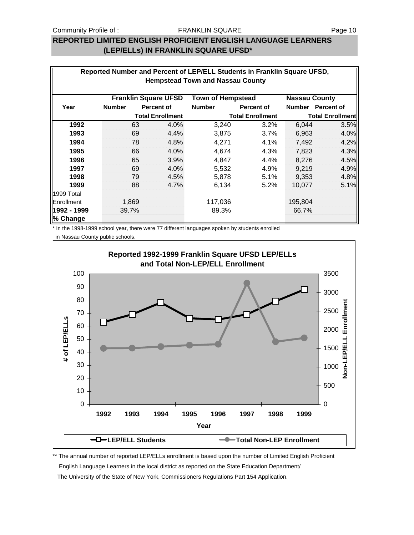## **REPORTED LIMITED ENGLISH PROFICIENT ENGLISH LANGUAGE LEARNERS (LEP/ELLs) IN FRANKLIN SQUARE UFSD\***

| Reported Number and Percent of LEP/ELL Students in Franklin Square UFSD,        |               |       |                   |               |                         |                         |                   |  |  |
|---------------------------------------------------------------------------------|---------------|-------|-------------------|---------------|-------------------------|-------------------------|-------------------|--|--|
| <b>Hempstead Town and Nassau County</b>                                         |               |       |                   |               |                         |                         |                   |  |  |
|                                                                                 |               |       |                   |               |                         |                         |                   |  |  |
| <b>Franklin Square UFSD</b><br><b>Town of Hempstead</b><br><b>Nassau County</b> |               |       |                   |               |                         |                         |                   |  |  |
| Year                                                                            | <b>Number</b> |       | <b>Percent of</b> | <b>Number</b> | <b>Percent of</b>       |                         | Number Percent of |  |  |
| <b>Total Enrollment</b>                                                         |               |       |                   |               | <b>Total Enrollment</b> | <b>Total Enrollment</b> |                   |  |  |
| 1992                                                                            |               | 63    | 4.0%              | 3,240         | 3.2%                    | 6,044                   | 3.5%              |  |  |
| 1993                                                                            |               | 69    | 4.4%              | 3,875         | 3.7%                    | 6,963                   | 4.0%              |  |  |
| 1994                                                                            |               | 78    | 4.8%              | 4,271         | 4.1%                    | 7,492                   | 4.2%              |  |  |
| 1995                                                                            |               | 66    | 4.0%              | 4,674         | 4.3%                    | 7,823                   | 4.3%              |  |  |
| 1996                                                                            |               | 65    | 3.9%              | 4,847         | 4.4%                    | 8,276                   | 4.5%              |  |  |
| 1997                                                                            |               | 69    | 4.0%              | 5,532         | 4.9%                    | 9,219                   | 4.9%              |  |  |
| 1998                                                                            |               | 79    | 4.5%              | 5,878         | 5.1%                    | 9,353                   | 4.8%              |  |  |
| 1999                                                                            |               | 88    | 4.7%              | 6,134         | $5.2\%$                 | 10,077                  | 5.1%              |  |  |
| 1999 Total                                                                      |               |       |                   |               |                         |                         |                   |  |  |
| Enrollment                                                                      |               | 1,869 |                   | 117,036       |                         | 195,804                 |                   |  |  |
| 1992 - 1999                                                                     |               | 39.7% |                   | 89.3%         |                         | 66.7%                   |                   |  |  |
| % Change                                                                        |               |       |                   |               |                         |                         |                   |  |  |

\* In the 1998-1999 school year, there were 77 different languages spoken by students enrolled in Nassau County public schools.



\*\* The annual number of reported LEP/ELLs enrollment is based upon the number of Limited English Proficient English Language Learners in the local district as reported on the State Education Department/ The University of the State of New York, Commissioners Regulations Part 154 Application.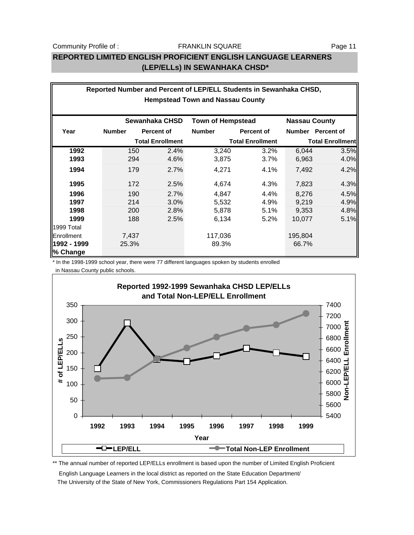# **REPORTED LIMITED ENGLISH PROFICIENT ENGLISH LANGUAGE LEARNERS (LEP/ELLs) IN SEWANHAKA CHSD\***

|                                                                    | Reported Number and Percent of LEP/ELL Students in Sewanhaka CHSD, |                         |               |                         |                         |                   |  |  |  |
|--------------------------------------------------------------------|--------------------------------------------------------------------|-------------------------|---------------|-------------------------|-------------------------|-------------------|--|--|--|
| <b>Hempstead Town and Nassau County</b>                            |                                                                    |                         |               |                         |                         |                   |  |  |  |
| Sewanhaka CHSD<br><b>Town of Hempstead</b><br><b>Nassau County</b> |                                                                    |                         |               |                         |                         |                   |  |  |  |
| Year                                                               | <b>Number</b>                                                      | <b>Percent of</b>       | <b>Number</b> | <b>Percent of</b>       |                         | Number Percent of |  |  |  |
|                                                                    |                                                                    | <b>Total Enrollment</b> |               | <b>Total Enrollment</b> | <b>Total Enrollment</b> |                   |  |  |  |
| 1992                                                               | 150                                                                | 2.4%                    | 3,240         | 3.2%                    | 6,044                   | 3.5%              |  |  |  |
| 1993                                                               | 294                                                                | 4.6%                    | 3,875         | 3.7%                    | 6,963                   | 4.0%              |  |  |  |
| 1994                                                               | 179                                                                | 2.7%                    | 4,271         | 4.1%                    | 7,492                   | 4.2%              |  |  |  |
| 1995                                                               | 172                                                                | 2.5%                    | 4,674         | 4.3%                    | 7,823                   | 4.3%              |  |  |  |
| 1996                                                               | 190                                                                | 2.7%                    | 4,847         | 4.4%                    | 8,276                   | 4.5%              |  |  |  |
| 1997                                                               | 214                                                                | 3.0%                    | 5,532         | 4.9%                    | 9,219                   | 4.9%              |  |  |  |
| 1998                                                               | 200                                                                | 2.8%                    | 5,878         | 5.1%                    | 9,353                   | 4.8%              |  |  |  |
| 1999                                                               | 188                                                                | 2.5%                    | 6,134         | 5.2%                    | 10,077                  | 5.1%              |  |  |  |
| 1999 Total                                                         |                                                                    |                         |               |                         |                         |                   |  |  |  |
| Enrollment                                                         | 7,437                                                              |                         | 117,036       |                         | 195,804                 |                   |  |  |  |
| 1992 - 1999<br>% Change                                            | 25.3%                                                              |                         | 89.3%         |                         | 66.7%                   |                   |  |  |  |

\* In the 1998-1999 school year, there were 77 different languages spoken by students enrolled in Nassau County public schools.



\*\* The annual number of reported LEP/ELLs enrollment is based upon the number of Limited English Proficient

 English Language Learners in the local district as reported on the State Education Department/ The University of the State of New York, Commissioners Regulations Part 154 Application.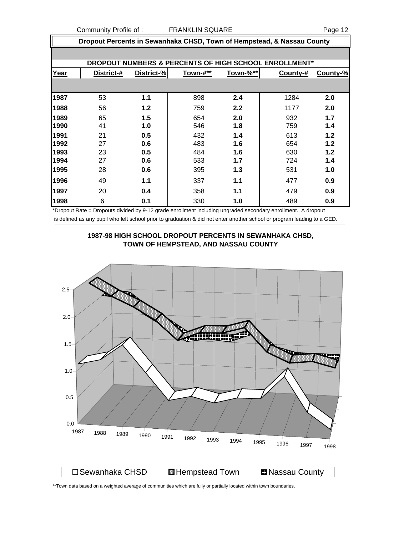Community Profile of : FRANKLIN SQUARE

| age |  | י |
|-----|--|---|
|     |  |   |

|      | Dropout Percents in Sewanhaka CHSD, Town of Hempstead, & Nassau County |            |          |          |                                                       |          |  |  |
|------|------------------------------------------------------------------------|------------|----------|----------|-------------------------------------------------------|----------|--|--|
|      |                                                                        |            |          |          |                                                       |          |  |  |
|      |                                                                        |            |          |          | DROPOUT NUMBERS & PERCENTS OF HIGH SCHOOL ENROLLMENT* |          |  |  |
| Year | District-#                                                             | District-% | Town-#** | Town-%** | County-#                                              | County-% |  |  |
|      |                                                                        |            |          |          |                                                       |          |  |  |
| 1987 | 53                                                                     | 1.1        | 898      | 2.4      | 1284                                                  | 2.0      |  |  |
| 1988 | 56                                                                     | 1.2        | 759      | 2.2      | 1177                                                  | 2.0      |  |  |
| 1989 | 65                                                                     | 1.5        | 654      | 2.0      | 932                                                   | 1.7      |  |  |
| 1990 | 41                                                                     | 1.0        | 546      | 1.8      | 759                                                   | 1.4      |  |  |
| 1991 | 21                                                                     | 0.5        | 432      | 1.4      | 613                                                   | 1.2      |  |  |
| 1992 | 27                                                                     | 0.6        | 483      | 1.6      | 654                                                   | 1.2      |  |  |
| 1993 | 23                                                                     | 0.5        | 484      | 1.6      | 630                                                   | 1.2      |  |  |
| 1994 | 27                                                                     | 0.6        | 533      | 1.7      | 724                                                   | 1.4      |  |  |
| 1995 | 28                                                                     | 0.6        | 395      | 1.3      | 531                                                   | 1.0      |  |  |
| 1996 | 49                                                                     | 1.1        | 337      | 1.1      | 477                                                   | 0.9      |  |  |
| 1997 | 20                                                                     | 0.4        | 358      | 1.1      | 479                                                   | 0.9      |  |  |
| 1998 | 6                                                                      | 0.1        | 330      | 1.0      | 489                                                   | 0.9      |  |  |

\*Dropout Rate = Dropouts divided by 9-12 grade enrollment including ungraded secondary enrollment. A dropout is defined as any pupil who left school prior to graduation & did not enter another school or program leading to a GED.



\*\*Town data based on a weighted average of communities which are fully or partially located within town boundaries.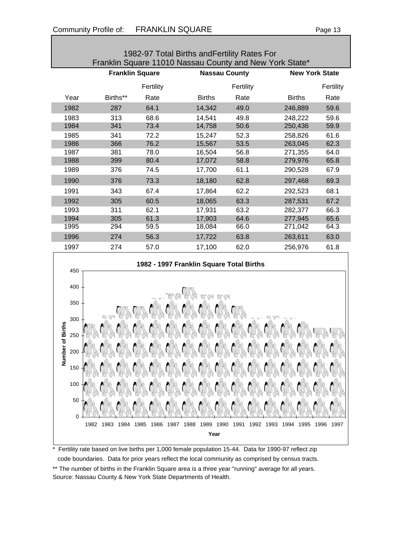| 1982-97 Total Births and Fertility Rates For            |                        |           |                      |           |               |                       |  |
|---------------------------------------------------------|------------------------|-----------|----------------------|-----------|---------------|-----------------------|--|
| Franklin Square 11010 Nassau County and New York State* |                        |           |                      |           |               |                       |  |
|                                                         | <b>Franklin Square</b> |           | <b>Nassau County</b> |           |               | <b>New York State</b> |  |
|                                                         |                        | Fertility |                      | Fertility |               | Fertility             |  |
| Year                                                    | Births**               | Rate      | <b>Births</b>        | Rate      | <b>Births</b> | Rate                  |  |
| 1982                                                    | 287                    | 64.1      | 14,342               | 49.0      | 246,889       | 59.6                  |  |
| 1983                                                    | 313                    | 68.6      | 14,541               | 49.8      | 248,222       | 59.6                  |  |
| 1984                                                    | 341                    | 73.4      | 14,758               | 50.6      | 250,436       | 59.9                  |  |
| 1985                                                    | 341                    | 72.2      | 15,247               | 52.3      | 258,826       | 61.6                  |  |
| 1986                                                    | 366                    | 76.2      | 15,567               | 53.5      | 263,045       | 62.3                  |  |
| 1987                                                    | 381                    | 78.0      | 16,504               | 56.8      | 271,355       | 64.0                  |  |
| 1988                                                    | 399                    | 80.4      | 17,072               | 58.8      | 279,976       | 65.8                  |  |
| 1989                                                    | 376                    | 74.5      | 17,700               | 61.1      | 290,528       | 67.9                  |  |
| 1990                                                    | 376                    | 73.3      | 18,180               | 62.8      | 297,468       | 69.3                  |  |
| 1991                                                    | 343                    | 67.4      | 17,864               | 62.2      | 292,523       | 68.1                  |  |
| 1992                                                    | 305                    | 60.5      | 18,065               | 63.3      | 287,531       | 67.2                  |  |
| 1993                                                    | 311                    | 62.1      | 17,931               | 63.2      | 282,377       | 66.3                  |  |
| 1994                                                    | 305                    | 61.3      | 17,903               | 64.6      | 277,945       | 65.6                  |  |
| 1995                                                    | 294                    | 59.5      | 18,084               | 66.0      | 271,042       | 64.3                  |  |
| 1996                                                    | 274                    | 56.3      | 17,722               | 63.8      | 263,611       | 63.0                  |  |
| 1997                                                    | 274                    | 57.0      | 17,100               | 62.0      | 256,976       | 61.8                  |  |
|                                                         |                        |           |                      |           |               |                       |  |



Fertility rate based on live births per 1,000 female population 15-44. Data for 1990-97 reflect zip code boundaries. Data for prior years reflect the local community as comprised by census tracts. \*\* The number of births in the Franklin Square area is a three year "running" average for all years. Source: Nassau County & New York State Departments of Health.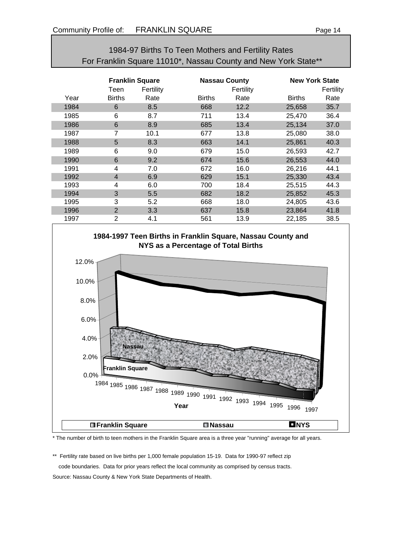# 1984-97 Births To Teen Mothers and Fertility Rates For Franklin Square 11010\*, Nassau County and New York State\*\*

|      | <b>Franklin Square</b><br>Fertility<br>Teen |      | <b>Nassau County</b> | Fertility |               | <b>New York State</b><br>Fertility |  |
|------|---------------------------------------------|------|----------------------|-----------|---------------|------------------------------------|--|
| Year | <b>Births</b>                               | Rate | <b>Births</b>        | Rate      | <b>Births</b> | Rate                               |  |
| 1984 | 6                                           | 8.5  | 668                  | 12.2      | 25,658        | 35.7                               |  |
| 1985 | 6                                           | 8.7  | 711                  | 13.4      | 25,470        | 36.4                               |  |
| 1986 | 6                                           | 8.9  | 685                  | 13.4      | 25,134        | 37.0                               |  |
| 1987 | 7                                           | 10.1 | 677                  | 13.8      | 25,080        | 38.0                               |  |
| 1988 | 5                                           | 8.3  | 663                  | 14.1      | 25,861        | 40.3                               |  |
| 1989 | 6                                           | 9.0  | 679                  | 15.0      | 26,593        | 42.7                               |  |
| 1990 | 6                                           | 9.2  | 674                  | 15.6      | 26,553        | 44.0                               |  |
| 1991 | 4                                           | 7.0  | 672                  | 16.0      | 26,216        | 44.1                               |  |
| 1992 | $\overline{4}$                              | 6.9  | 629                  | 15.1      | 25,330        | 43.4                               |  |
| 1993 | 4                                           | 6.0  | 700                  | 18.4      | 25,515        | 44.3                               |  |
| 1994 | 3                                           | 5.5  | 682                  | 18.2      | 25,852        | 45.3                               |  |
| 1995 | 3                                           | 5.2  | 668                  | 18.0      | 24,805        | 43.6                               |  |
| 1996 | $\overline{2}$                              | 3.3  | 637                  | 15.8      | 23,864        | 41.8                               |  |
| 1997 | $\overline{2}$                              | 4.1  | 561                  | 13.9      | 22,185        | 38.5                               |  |



\* The number of birth to teen mothers in the Franklin Square area is a three year "running" average for all years.

\*\* Fertility rate based on live births per 1,000 female population 15-19. Data for 1990-97 reflect zip code boundaries. Data for prior years reflect the local community as comprised by census tracts. Source: Nassau County & New York State Departments of Health.